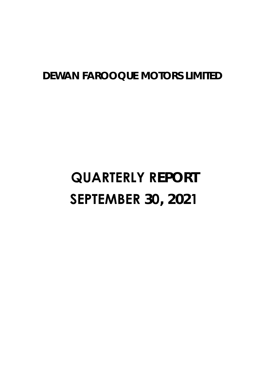# **DEWAN FAROOQUE MOTORS LIMITED**

# **QUARTERLY REPORT SEPTEMBER 30, 2021**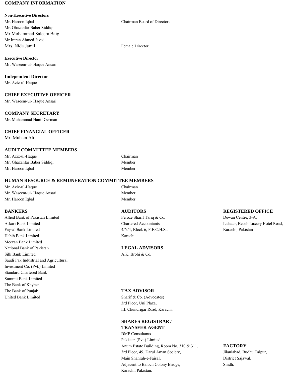## **COMPANY INFORMATION**

## **Non-Executive Directors**

Mr. Haroon Iqbal Chairman Board of Directors Mr. Ghazanfar Baber Siddiqi Mr.Mohammad Saleem Baig Mr.Imran Ahmed Javed Mrs. Nida Jamil **Female Director** 

**Executive Director** Mr. Waseem-ul- Haque Ansari

**Independent Director**

Mr. Aziz-ul-Haque

## **CHIEF EXECUTIVE OFFICER**

Mr. Waseem-ul- Haque Ansari

## **COMPANY SECRETARY**

Mr. Muhammad Hanif German

## **CHIEF FINANCIAL OFFICER**

Mr. Muhsin Ali

## **AUDIT COMMITTEE MEMBERS**

Mr. Aziz-ul-Haque Chairman Mr. Ghazanfar Baber Siddiqi Member Mr. Haroon Iqbal Member

## **HUMAN RESOURCE & REMUNERATION COMMITTEE MEMBERS**

Mr. Aziz-ul-Haque Chairman Mr. Waseem-ul- Haque Ansari Member Mr. Haroon Iqbal Member

Allied Bank of Pakistan Limited Feroze Sharif Tariq & Co. Dewan Centre, 3-A, Askari Bank Limited Chartered Accountants Lalazar, Beach Luxury Hotel Road, Faysal Bank Limited **1986** Contact A/N/4, Block 6, P.E.C.H.S., **Karachi, Pakistan** Habib Bank Limited Karachi. Meezan Bank Limited National Bank of Pakistan **LEGAL ADVISORS** Silk Bank Limited A.K. Brohi & Co. Saudi Pak Industrial and Agricultural Investment Co. (Pvt.) Limited Standard Chartered Bank Summit Bank Limited The Bank of Khyber The Bank of Punjab **TAX ADVISOR** United Bank Limited Sharif & Co. (Advocates)

## **BANKERS AUDITORS REGISTERED OFFICE**

3rd Floor, Uni Plaza, I.I. Chundrigar Road, Karachi.

## **SHARES REGISTRAR / TRANSFER AGENT**

BMF Consultants Pakistan (Pvt.) Limited Anum Estate Building, Room No. 310 & 311, **FACTORY** 3rd Floor, 49, Darul Aman Society, Jilaniabad, Budhu Talpur, Main Shahrah-e-Faisal, District Sajawal, Adjacent to Baloch Colony Bridge, Sindh. Karachi, Pakistan.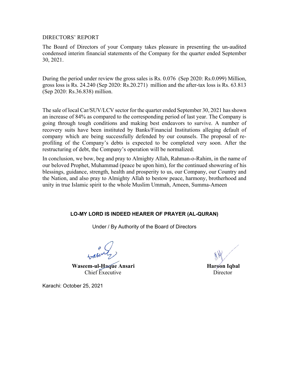DIRECTORS' REPORT

The Board of Directors of your Company takes pleasure in presenting the un-audited condensed interim financial statements of the Company for the quarter ended September 30, 2021.

During the period under review the gross sales is Rs. 0.076 (Sep 2020: Rs.0.099) Million, gross loss is Rs. 24.240 (Sep 2020: Rs.20.271) million and the after-tax loss is Rs. 63.813 (Sep 2020: Rs.36.838) million.

The sale of local Car/SUV/LCV sector for the quarter ended September 30, 2021 has shown an increase of 84% as compared to the corresponding period of last year. The Company is going through tough conditions and making best endeavors to survive. A number of recovery suits have been instituted by Banks/Financial Institutions alleging default of company which are being successfully defended by our counsels. The proposal of reprofiling of the Company's debts is expected to be completed very soon. After the restructuring of debt, the Company's operation will be normalized.

In conclusion, we bow, beg and pray to Almighty Allah, Rahman-o-Rahim, in the name of our beloved Prophet, Muhammad (peace be upon him), for the continued showering of his blessings, guidance, strength, health and prosperity to us, our Company, our Country and the Nation, and also pray to Almighty Allah to bestow peace, harmony, brotherhood and unity in true Islamic spirit to the whole Muslim Ummah, Ameen, Summa-Ameen

# **LO-MY LORD IS INDEED HEARER OF PRAYER (AL-QURAN)**

Under / By Authority of the Board of Directors

**Waseem-ul-Haque Ansari Haroon Iqbal Haroon Iqbal** Chief Executive Director

Karachi: October 25, 2021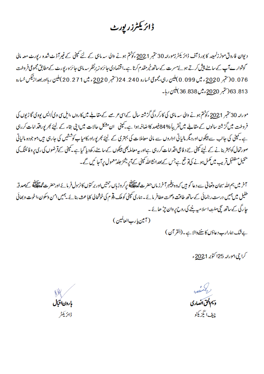# ڈائریکٹرزر پورٹ

دیوان فاروق موٹرزلرید کا بورڈ آف ڈائر یکٹرزمورنٹہ 30ستبر 2021 وکوٹتم ہونے والی سہ ماہی کے لئے کمپنی کے غیر آڈٹ شدہ رپورٹ معہ مالی کوشوار ہےآپ کے سامنے پیش کرتے ہوئے مسرت کے ساتھ خیر مقدم کرتا ہے۔اقتصادی جائزہ زیرنظر سہ ماہی جائزہ رپورٹ کے مطابق مجموعی فروخت 0 / 0 / حتبر 2<u>0</u>20 ء ميں 099 . 0)ملين رہی،مجموعی خسارہ 240 . 244 حتبر 2<u>00</u>0 ء ميں 271 . 20 )ملين رہااوربعدا زنيكس خسارہ 813. 63 (تتبر 2<u>0</u>20ء میں 36.838)ملین رہا۔

مورحہ 30ستمبر 2021ء کو حتم ہونے والی سہ ماہی کی کارکر دگی گزشتہ سال کےاسی عرصے کے مقابلے میں کاروں ،امل سی وی/ایس یووی گا ڑیوں کی فروخت میں گز شتہ سالوں کے مقابلے میں تقریباً %84فیصد کااضافہ ہوا ہے۔ کمپنی ان مشکل حالات میں بیْ ا ج کے لیئے کجر پوراقد امات کررہی ہے۔کمپنی کی جانب سے پینکوں اور دیگر مالیاتی اداروں سے مالی معاملات کی بہتری کے لیئے کجریوراورکامیاب کوششیں کی جارہی ہیں بموجودہ مالیاتی صورتحال کوبہتر بنانے کے لیئے کمپنی نئے د فاعی اقدامات کررہی ہےاور بیہ معاملہ بھی پینکوں کے سامنے رکھ دیا گیا ہے کیپنی کے قرضوں کی ری پر وفائلنگ کی سیمیل ستنقبل قریب میں مکمل ہونے کیات<sub>ہ</sub> تع ہے جس کے بعدانشااللہ کمپنی کے آپریشنز *جلد معم*ول پر آجا <sup>ک</sup>یں گے۔

آخر میں ہم <sub>اللّٰہ</sub> سِحان وتعالیٰ سے دعا کو ہیں کہ وہ پن<u>جم</u>برآخرز ماں حضرت مجمعلی کے مرکز کرنے کا مرد اسے اور حضرت مجمعلی کے محمد قہ طفیل میں ہمیں درست رہنمائی کے ساتھ طاقت وصحت عطافر مائے۔ہاری کمپنی کوملک **دن**و م کی خوشحالی کابا عث بنائے <sup>یہ</sup>میں امن وسکون،اخوت و بھائی جا رگی کے ساتھ تچی ملتِ اسلامیہ بننے کی روح پر وان چڑ ھائے ۔

( أمين يا رب العالمين )

بےشک ہمارارب دعاؤں کا تنفےوالا ہے۔(القرآن)

کراچي بمور<sub>خ</sub>ه 25اکتوبر 2<u>02</u>1ء

e d وسيم الحق اتصارى چيف ايگزيکڻو

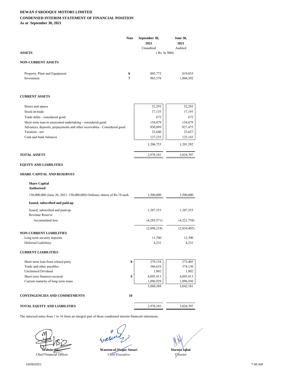## **DEWAN FAROOQUE MOTORS LIMITED CONDENSED INTERIM STATEMENT OF FINANCIAL POSITION As at September 30, 2021**

| <b>ASSETS</b>                               | <b>Note</b> | September 30,<br>2021<br>Unaudited<br>(Rs. In 7000) | <b>June 30,</b><br>2021<br>Audited |
|---------------------------------------------|-------------|-----------------------------------------------------|------------------------------------|
| <b>NON-CURRENT ASSETS</b>                   |             |                                                     |                                    |
| Property, Plant and Equipment<br>Investment | 6<br>7      | 805,772<br>965,576                                  | 819,033<br>1,004,392               |
| <b>CURRENT ASSETS</b>                       |             |                                                     |                                    |

| Stores and spares                                                       | 52,293    | 52,293    |
|-------------------------------------------------------------------------|-----------|-----------|
| Stock-in-trade                                                          | 17,135    | 17,193    |
| Trade debts - considered good                                           | 672       | 672       |
| Short term loan to associated undertaking - considered good             | 154,879   | 154,879   |
| Advances, deposits, prepayments and other receivables - Considered good | 830,899   | 827,475   |
| Taxation - net                                                          | 23,640    | 23,627    |
| Cash and bank balances                                                  | 127,235   | 125,143   |
|                                                                         | 1,206,753 | 1,201,282 |
| <b>TOTAL ASSETS</b>                                                     | 2,978,101 | 3,024,707 |

## **EQUITY AND LIABILITIES**

## **SHARE CAPITAL AND RESERVES**

## **Share Capital Authorized**

| 150,000,000 (June 30, 2021: 150,000,000) Ordinary shares of Rs.10 each | 1,500,000   | 1,500,000   |
|------------------------------------------------------------------------|-------------|-------------|
| Issued, subscribed and paid-up                                         |             |             |
| Issued, subscribed and paid-up                                         | 1,387,353   | 1,387,353   |
| Revenue Reserve                                                        |             |             |
| Accumulated loss                                                       | (4,285,571) | (4,221,758) |
|                                                                        | (2,898,218) | (2,834,405) |
| NON-CURRENT LIABILITIES                                                |             |             |
| Long term security deposits                                            | 11,700      | 12,700      |
| Deferred Liabilities                                                   | 4,231       | 4,231       |

## **CURRENT LIABILITIES**

| 8 | 279,134   | 273,405   |
|---|-----------|-----------|
|   | 386,610   | 374,130   |
|   | 1,802     | 1,802     |
|   | 4,095,913 | 4,095,913 |
|   | 1,096,929 | 1,096,930 |
|   | 5,860,388 | 5,842,181 |
|   |           |           |

## **CONTINGENCIES AND COMMITMENTS 10**

## **TOTAL EQUITY AND LIABILITIES** 2,978,101 3,024,707



ρ

Waseem-ul-Haque Ansari

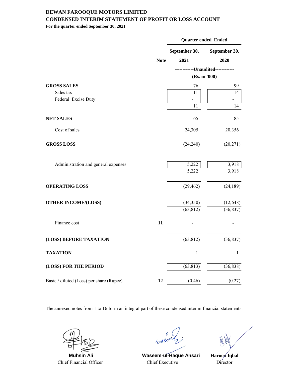## **DEWAN FAROOQUE MOTORS LIMITED CONDENSED INTERIM STATEMENT OF PROFIT OR LOSS ACCOUNT**

**For the quarter ended September 30, 2021**

|                                          |             | Quarter ended Ended |                             |  |
|------------------------------------------|-------------|---------------------|-----------------------------|--|
|                                          |             | September 30,       | September 30,               |  |
|                                          | <b>Note</b> | 2021                | 2020                        |  |
|                                          |             |                     | ------Unaudited------------ |  |
|                                          |             |                     | (Rs. in '000)               |  |
| <b>GROSS SALES</b>                       |             | 76                  | 99                          |  |
| Sales tax                                |             | 11                  | 14                          |  |
| Federal Excise Duty                      |             |                     |                             |  |
|                                          |             | 11                  | 14                          |  |
| <b>NET SALES</b>                         |             | 65                  | 85                          |  |
| Cost of sales                            |             | 24,305              | 20,356                      |  |
| <b>GROSS LOSS</b>                        |             | (24,240)            | (20, 271)                   |  |
| Administration and general expenses      |             | 5,222               | 3,918                       |  |
|                                          |             | 5,222               | 3,918                       |  |
| <b>OPERATING LOSS</b>                    |             | (29, 462)           | (24, 189)                   |  |
| <b>OTHER INCOME/(LOSS)</b>               |             | (34,350)            | (12, 648)                   |  |
|                                          |             | (63, 812)           | (36, 837)                   |  |
| Finance cost                             | 11          |                     |                             |  |
| (LOSS) BEFORE TAXATION                   |             | (63, 812)           | (36, 837)                   |  |
| <b>TAXATION</b>                          |             | $\mathbf 1$         | $\mathbf{1}$                |  |
| (LOSS) FOR THE PERIOD                    |             | (63, 813)           | (36, 838)                   |  |
| Basic / diluted (Loss) per share (Rupee) | 12          | (0.46)              | (0.27)                      |  |

Chief Financial Officer Chief Executive

 $470$ 

 **Muhsin Ali Waseem-ul-Haque Ansari**

**Haroon Iqbal** Director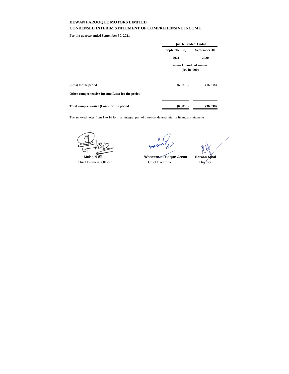## **DEWAN FAROOQUE MOTORS LIMITED CONDENSED INTERIM STATEMENT OF COMPREHENSIVE INCOME**

**For the quarter ended September 30, 2021**

|                                                  | <b>Ouarter ended Ended</b>                  |               |  |
|--------------------------------------------------|---------------------------------------------|---------------|--|
|                                                  | September 30,                               | September 30, |  |
|                                                  | 2021                                        | 2020          |  |
|                                                  | ------- Unaudited --------<br>(Rs. in '000) |               |  |
| (Loss) for the period                            | (63, 813)                                   | (36, 838)     |  |
| Other comprehensive Income(Loss) for the period: | ۰                                           | ۰             |  |
| Total comprehensive (Loss) for the period        | (63, 813)                                   | (36, 838)     |  |

Chief Financial Officer Chief Executive

wall

 **Muhsin Ali Waseem-ul-Haque Ansari**



Director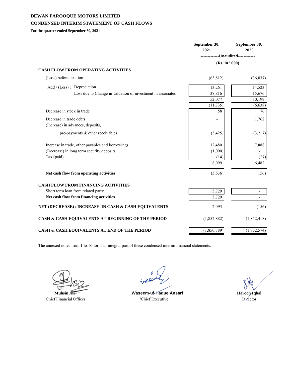# **DEWAN FAROOQUE MOTORS LIMITED CONDENSED INTERIM STATEMENT OF CASH FLOWS**

**For the quarter ended September 30, 2021**

|                                                             | September 30,<br>2021              | September 30,<br>2020 |
|-------------------------------------------------------------|------------------------------------|-----------------------|
|                                                             | -------------Unaudited------------ |                       |
|                                                             | (Rs. in ' 000)                     |                       |
| <b>CASH FLOW FROM OPERATING ACTIVITIES</b>                  |                                    |                       |
| (Loss) before taxation                                      | (63, 812)                          | (36, 837)             |
| Add / (Less) : Depreciation                                 | 13,261                             | 14,523                |
| Loss due to Change in valuation of investment in associates | 38,816                             | 15,676                |
|                                                             | 52,077                             | 30,199                |
|                                                             | (11, 735)                          | (6,638)               |
| Decrease in stock in trade                                  | 58                                 | 76                    |
| Decrease in trade debts                                     |                                    | 1,762                 |
| (Increase) in advances, deposits,                           |                                    |                       |
| pre-payments & other receivables                            | (3, 425)                           | (3,217)               |
| Increase in trade, other payables and borrowings            | 12,480                             | 7,888                 |
| (Decrease) in long term security deposits                   | (1,000)                            |                       |
| Tax (paid)                                                  | (14)                               | (27)                  |
|                                                             | 8,099                              | 6,482                 |
| Net cash flow from operating activities                     | (3,636)                            | (156)                 |
| <b>CASH FLOW FROM FINANCING ACTIVITIES</b>                  |                                    |                       |
| Short term loan from related party                          | 5,729                              |                       |
| Net cash flow from financing activities                     | 5,729                              | $\blacksquare$        |
| NET (DECREASE) / INCREASE IN CASH & CASH EQUIVALENTS        | 2,093                              | (156)                 |
| CASH & CASH EQUIVALENTS AT BEGINNING OF THE PERIOD          | (1,852,882)                        | (1,852,418)           |
| CASH & CASH EQUIVALENTS AT END OF THE PERIOD                | (1,850,789)                        | (1,852,574)           |

**Muhsin** 

Chief Financial Officer

 $4,8$ 

Waseem-ul-Haque Ansari **Haroon** Haroon 'Chief Executive Director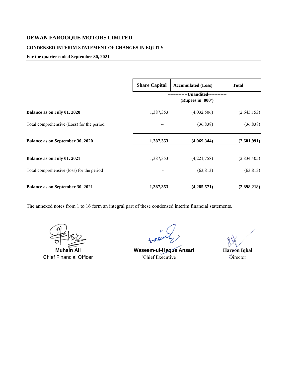# **DEWAN FAROOQUE MOTORS LIMITED**

## **CONDENSED INTERIM STATEMENT OF CHANGES IN EQUITY**

## **For the quarter ended September 30, 2021**

|                                           | <b>Share Capital</b> | <b>Accumulated (Loss)</b>         | <b>Total</b> |
|-------------------------------------------|----------------------|-----------------------------------|--------------|
|                                           |                      | -Unaudited--<br>(Rupees in '000') |              |
| Balance as on July 01, 2020               | 1,387,353            | (4,032,506)                       | (2,645,153)  |
| Total comprehensive (Loss) for the period |                      | (36, 838)                         | (36, 838)    |
| Balance as on September 30, 2020          | 1,387,353            | (4,069,344)                       | (2,681,991)  |
| Balance as on July 01, 2021               | 1,387,353            | (4,221,758)                       | (2,834,405)  |
| Total comprehensive (loss) for the period |                      | (63, 813)                         | (63, 813)    |
| Balance as on September 30, 2021          | 1,387,353            | (4,285,571)                       | (2,898,218)  |

**Muhsin Ali Waseem-ul-Haque Ansari Haroon Iqbal** Chief Financial Officer 'Chief Executive Director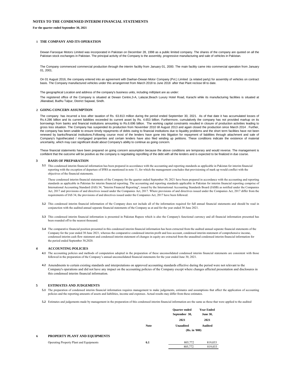## **NOTES TO THE CONDENSED INTERIM FINANCIAL STATEMENTS**

**For the quarter ended September 30, 2021**

#### **1 THE COMPANY AND ITS OPERATION**

Dewan Farooque Motors Limited was incorporated in Pakistan on December 28, 1998 as a public limited company. The shares of the company are quoted on all the Pakistan stock exchanges in Pakistan. The principal activity of the Company is the assembly, progressive manufacturing and sale of vehicles in Pakistan.

The Company commenced commercial production through the interim facility from January 01, 2000. The main facility came into commercial operation from January 01, 2001.

On 01 August 2016, the company entered into an agreement with Daehan-Dewan Motor Company (Pvt.) Limited (a related party) for assembly of vehicles on contract basis. The Company manufactured vehicles under this arrangemnet from March 2018 to June 2018 after that Plant reclose till to date.

The geographical Location and address of the company's business units, including mill/plant are as under:

The registered office of the Company is situated at Dewan Centre,3-A, Lalazar,Beach Luxury Hotel Road, Karachi while its manufacturing facilities is situated at Jilianabad, Budhu Talpur, District Sajawal, Sindh.

#### **2 GOING CONCERN ASSUMPTION**

The company has incurred a loss after taxation of Rs. 63.813 million during the period ended September 30, 2021. As of that date it has accumulated losses of Rs.4.286 billion and its current liabilities exceeded its current asset by Rs. 4.653 billion. Furthermore, cumulatively the company has not provided markup on its borrowings from banks and financial institutions amounting to Rs.6.696 billion. The working capital constraints resulted in closure of production activities leading to gross loss situation. The Company has suspended its production from November 2010 till August 2013 and again closed the production since March 2014 . Further, the company has been unable to ensure timely repayments of debts owing to financial institutions due to liquidity problems and the short term facilities have not been renewed by banks/financial institutions.Following course most of the lenders have gone into litigation for repayment of liabilities through attachment and sale of Company's hypothecated / mortgaged properties and certain lenders have also filed winding up petitions. These conditions indicate the existence of material uncertainty, which may cast significant doubt about Company's ability to continue as going concern.

These financial statements have been prepared on going concern assumption because the above conditions are temporary and would reverse. The management is confident that the outcome will be positive as the company is negotiating reprofiling of the debt with all the lenders and is expected to be finalized in due course.

## **3 BASIS OF PREPARATION**

**3.1** This condensed interim financial information has been prepared in accordance with the accounting and reporting standards as applicable in Pakistan for interim financial reporting with the exception of departure of IFRS as mentioned in note 11, for which the management concludes that provisioning of mark up would conflict with the objectives of the financial statements.

These condensed interim financial statements of the Company for the quarter ended September 30, 2021 have been prepared in accordance with the accounting and reporting standards as applicable in Pakistan for interim financial reporting. The accounting and reporting standards applicable in Pakistan for interim financial reporting comprise of International Accounting Standard (IAS) 34, "Interim Financial Reporting", issued by the International Accounting Standards Board (IASB) as notified under the Companies Act, 2017 and provisions of and directives issued under the Companies Act, 2017. Where provisions of and directives issued under the Companies Act, 2017 differ from the requirements of IAS 34, the provisions of and directives issued under the Companies Act, 2017 have been followed.

- **3.2** This condensed interim financial information of the Company does not include all of the information required for full annual financial statements and should be read in conjunction with the audited annual separate financial statements of the Company as at and for the year ended 30 June 2021.
- **3.3** This condensed interim financial information is presented in Pakistan Rupees which is also the Company's functional currency and all financial information presented has been rounded off to the nearest thousand.
- **3.4** The comparative financial position presented in this condensed interim financial information has been extracted from the audited annual separate financial statements of the Company for the year ended 30 June 2021, whereas the comparative condensed interim profit and loss account, condensed interim statement of comprehensive income, condensed interim cash flow statement and condensed interim statement of changes in equity are extracted from the unaudited condensed interim financial information for the period ended September 30,2020.

## **4 ACCOUNTING POLICIES**

- 4.1 The accounting policies and methods of computation adopted in the preparation of these unconsolidated condensed interim financial statements are consistent with those followed in the preparation of the Company's annual unconsolidated financial statements for the year ended June 30, 2021.
- **4.2** Amendments to certain existing standards and interpretations on approved accounting standards effective during the period were not relevant to the Company's operations and did not have any impact on the accounting policies of the Company except where changes affected presentation and disclosures in this condensed interim financial information.

## **5 ESTIMATES AND JUDGEMENTS**

**5.1** The preparation of condensed interim financial information requires management to make judgements, estimates and assumptions that affect the application of accounting policies and the reporting amounts of assets and liabilities, income and expenses. Actual results may differ from these estimates.

**5.2** Estimates and judgements made by management in the preparation of this condensed interim financial information are the same as those that were applied to the audited

|    |                                         |             | <b>Ouarter</b> ended | <b>Year Ended</b> |
|----|-----------------------------------------|-------------|----------------------|-------------------|
|    |                                         |             | September 30,        | <b>June 30,</b>   |
|    |                                         |             | 2021                 | 2021              |
|    |                                         | <b>Note</b> | <b>Unaudited</b>     | Audited           |
|    |                                         |             | (Rs. in '000)        |                   |
| -6 | PROPERTY PLANT AND EQUIPMENTS           |             |                      |                   |
|    | Operating Property Plant and Equipments | 6.1         | 805,772              | 819,033           |
|    |                                         |             | 805,772              | 819,033           |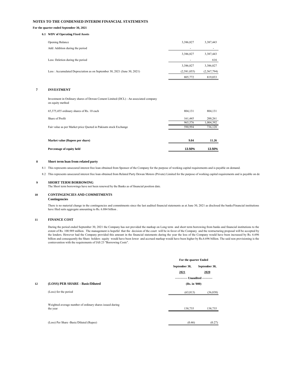## **NOTES TO THE CONDENSED INTERIM FINANCIAL STATEMENTS**

## **For the quarter ended September 30, 2021**

### **6.1 WDV of Operating Fixed Assets**

| <b>Opening Balance</b>                                                  | 3,386,827                | 3,387,443   |
|-------------------------------------------------------------------------|--------------------------|-------------|
| Add: Addition during the period                                         |                          |             |
|                                                                         | 3,386,827                | 3,387,443   |
| Less: Deletion during the period                                        | $\overline{\phantom{a}}$ | 616         |
|                                                                         | 3,386,827                | 3,386,827   |
| Less: Accumulated Depreciation as on September 30, 2021 (June 30, 2021) | (2,581,055)              | (2,567,794) |
|                                                                         | 805,772                  | 819.033     |

## **7 INVESTMENT**

Investment in Ordinary shares of Dewan Cement Limited (DCL) - An associated company on equity method

| 65,375,455 ordinary shares of Rs. 10 each                        | 804.131 | 804,131   |
|------------------------------------------------------------------|---------|-----------|
| Share of Profit                                                  | 161.445 | 200,261   |
|                                                                  | 965,576 | 1,004,392 |
| Fair value as per Market price Quoted in Pakisatn stock Exchange | 590.994 | 736.128   |
|                                                                  |         |           |
| Market value (Rupees per share)                                  | 9.04    | 11.26     |
|                                                                  |         |           |
| Percentage of equity held                                        | 13.50%  | 13.50%    |

### **8 Short term loan from related party**

8.1 This represents unsecured interest free loan obtained from Sponsor of the Company for the purpose of working capital requirements and is payable on demand.

8.2 This represents unsecured interest free loan obtained from Related Party Dewan Motors (Private) Limited for the purpose of working capital requirements and is payable on dem

### **9 SHORT TERM BORROWING**

The Short term borrowings have not been renewed by the Banks as of financial position date.

## **10 CONTINGENCIES AND COMMITMENTS**

## **Contingencies**

There is no material change in the contingencies and commitments since the last audited financial statements as at June 30, 2021 as disclosed the banks/Financial institutions have filed suits aggregate amounting to Rs. 6.884 billion .

## **11 FINANCE COST**

During the period ended September 30, 2021 the Company has not provided the markup on Long term and short term borrowing from banks and financial institutions to the extent of Rs. 100.989 million. The management is hopeful that the decision of the court will be in favor of the Company and the restructuring proposal will be accepted by the lenders. However had the Company provided this amount in the financial statements during the year the loss of the Company would have been increased by Rs. 6.696 billion and consequently the Share holders equity would have been lower and accrued markup would have been higher by Rs.6.696 billion. The said non provisioning is the contravention with the requirements of IAS 23 "Borrowing Costs".

|    |                                                                      | For the quarter Ended             |               |
|----|----------------------------------------------------------------------|-----------------------------------|---------------|
|    |                                                                      | September 30,                     | September 30, |
|    |                                                                      | 2021                              | 2020          |
|    |                                                                      | ------------ Unaudited ---------- |               |
| 12 | (LOSS) PER SHARE - Basic/Diluted                                     | (Rs. in '000)                     |               |
|    | (Loss) for the period                                                | (63, 813)                         | (36, 838)     |
|    | Weighted average number of ordinary shares issued during<br>the year | 138,735                           | 138,735       |
|    | (Loss) Per Share -Basic/Diluted (Rupee)                              | (0.46)                            | (0.27)        |
|    |                                                                      |                                   |               |